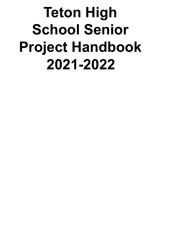# **Teton High School Senior Project Handbook 2021-2022**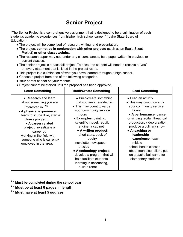## **Senior Project**

"The Senior Project is a comprehensive assignment that is designed to be a culmination of each student's academic experiences from his/her high school career." (Idaho State Board of Education)

- The project will be comprised of research, writing, and presentation.
- The project **cannot be in conjunction with other projects** (such as an Eagle Scout Project) **or other classes/clubs.**
- The research paper may not, under any circumstances, be a paper written in previous or current classes.
- The senior project is a pass/fail project. To pass, the student will need to receive a "yes" on every statement that is listed in the project rubric.
- This project is a culmination of what you have learned throughout high school.
- Choose a project from one of the following categories.
- Your parent cannot be your mentor.
- Project cannot be started until the proposal has been approved.

| <b>Learn Something</b>                                                                                                                                                                                                                                                                              | <b>Build/Create Something</b>                                                                                                                                                                                                                                                                                                                                                                                                      | <b>Lead Something</b>                                                                                                                                                                                                                                                                                                                                                             |
|-----------------------------------------------------------------------------------------------------------------------------------------------------------------------------------------------------------------------------------------------------------------------------------------------------|------------------------------------------------------------------------------------------------------------------------------------------------------------------------------------------------------------------------------------------------------------------------------------------------------------------------------------------------------------------------------------------------------------------------------------|-----------------------------------------------------------------------------------------------------------------------------------------------------------------------------------------------------------------------------------------------------------------------------------------------------------------------------------------------------------------------------------|
| • Research and learn<br>about something you are<br>interested in. **<br>• A physical experience:<br>learn to scuba dive, start a<br>fitness program.<br>• A career related<br>project: investigate a<br>career by<br>working in the field with<br>someone who is currently<br>employed in the area. | • Build/create something<br>that you are interested in.<br>• This may count towards<br>your community service<br>hours<br>• Examples: painting,<br>scientific model, rebuilt<br>engine, a cabinet<br>• A written product:<br>short story, book of<br>poetry,<br>novelette, newspaper<br>articles<br>• A technology project:<br>develop a program that will<br>help facilitate students<br>learning in accounting,<br>build a robot | • Lead an activity<br>• This may count towards<br>your community service<br>hours<br>• A performance: dance<br>or singing recital, theatrical<br>production, video creation,<br>produce a culinary show<br>• A teaching or<br>leadership<br>experience: teach<br>middle<br>school health classes<br>about teen alcoholism, put<br>on a basketball camp for<br>elementary students |

- **\*\* Must be completed during the school year**
- **\*\* Must be at least 6 pages in length**
- **\*\* Must have at least 5 sources**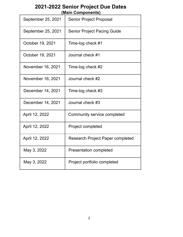## **2021-2022 Senior Project Due Dates (Main Components)**

| September 25, 2021 | <b>Senior Project Proposal</b>          |
|--------------------|-----------------------------------------|
| September 25, 2021 | <b>Senior Project Pacing Guide</b>      |
| October 19, 2021   | Time-log check #1                       |
| October 19, 2021   | Journal check #1                        |
| November 16, 2021  | Time-log check #2                       |
| November 16, 2021  | Journal check #2                        |
| December 14, 2021  | Time-log check #3                       |
| December 14, 2021  | Journal check #3                        |
| April 12, 2022     | Community service completed             |
| April 12, 2022     | Project completed                       |
| April 12, 2022     | <b>Research Project Paper completed</b> |
| May 3, 2022        | <b>Presentation completed</b>           |
| May 3, 2022        | Project portfolio completed             |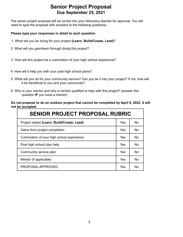### **Senior Project Proposal Due September 25, 2021**

The senior project proposal will be turned into your Advocacy teacher for approval. You will need to type the proposal with answers to the following questions:

#### **Please type your responses in detail to each question.**

- 1. What will you be doing for your project **(Learn, Build/Create, Lead)**?
- 2. What will you gain/learn through doing this project?
- 3. How will this project be a culmination of your high school experience?
- 4. How will it help you with your post high school plans?
- 5. What will you do for your community service? Can you tie it into your project? If not, how will it be beneficial to you and your community?
- 6. Who is your mentor and why is he/she qualified to help with this project? (answer this question **IF** you have a mentor)

#### **Do not propose to do an outdoor project that cannot be completed by April 9, 2022. It will not be accepted**.

| <b>SENIOR PROJECT PROPOSAL RUBRIC</b>      |     |                |  |  |  |  |  |
|--------------------------------------------|-----|----------------|--|--|--|--|--|
| Project stated (Learn, Build/Create, Lead) | Yes | <b>No</b>      |  |  |  |  |  |
| Gains from project completion              | Yes | <b>No</b>      |  |  |  |  |  |
| Culmination of your high school experience | Yes | N <sub>0</sub> |  |  |  |  |  |
| Post high school plan help                 | Yes | <b>No</b>      |  |  |  |  |  |
| Community service plan                     | Yes | <b>No</b>      |  |  |  |  |  |
| Mentor (if applicable)                     | Yes | <b>No</b>      |  |  |  |  |  |
| PROPOSAL APPROVED                          | Yes | No             |  |  |  |  |  |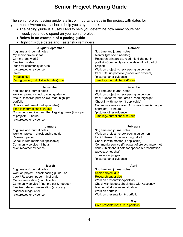## **Senior Project Pacing Guide**

The senior project pacing guide is a list of important steps in the project with dates for your mentor/Advocacy teacher to help you stay on track.

- The pacing guide is a useful tool to help you determine how many hours per week you should spend on your senior project
- **Below is an example of a pacing guide**
- Highlight due dates and \* asterisk reminders

| <b>August/September</b><br>*log time and journal notes<br>My senior project ideas<br>Can my idea work?<br>Finalize my idea<br>Ideas for community service<br>*pictures/other evidence<br>Gains<br><b>Proposal due</b><br>Pacing guide (to do list with dates) due                                                                                  | <b>October</b><br>*log time and journal notes<br>Mentor (get one if needed)<br>Research-print article, read, highlight, put in<br>portfolio Community service ideas (if not part of<br>project)<br>Work on project - check pacing guide - on<br>track? Set up portfolio (binder with dividers)<br>*pictures/other evidence<br>Time log/Journal check #1 due    |
|----------------------------------------------------------------------------------------------------------------------------------------------------------------------------------------------------------------------------------------------------------------------------------------------------------------------------------------------------|----------------------------------------------------------------------------------------------------------------------------------------------------------------------------------------------------------------------------------------------------------------------------------------------------------------------------------------------------------------|
| <b>November</b><br>*log time and journal notes<br>Work on project- check pacing guide - on<br>track? Research-print article, read, highlight,<br>portfolio<br>Check in with mentor (if applicable)<br>Time log/journal check #2 due<br>Community service over Thanksgiving break (if not part<br>of project) - 3 hours<br>*pictures/other evidence | <b>December</b><br>*log time and journal notes<br>Work on project - check pacing guide - on<br>track? Research-print article, read, highlight<br>Check in with mentor (if applicable)<br>Community service over Christmas break (if not part<br>of project) - 6 hours<br>*pictures/other evidence<br>Time log/Journal check #3 due                             |
| January<br>*log time and journal notes<br>Work on project - check pacing guide<br>Research paper<br>Check in with mentor (if applicable)<br>Community service - 1 hour<br>*pictures/other evidence                                                                                                                                                 | <b>February</b><br>*log time and journal notes<br>Work on project - check pacing guide - on<br>track? Research paper - rough draft<br>Check in with mentor (if applicable)<br>Community service (if not part of project and/or not<br>done) Think about date for speech & presentation<br>(advocacy teacher)<br>Think about judges<br>*pictures/other evidence |
| <b>March</b><br>*log time and journal notes<br>Work on project - check pacing guide - on<br>track? Research paper - final draft<br>Mentor verification (if applicable)<br>Community service (if not project & needed)<br>Finalize date for presentation (advocacy<br>teacher) Judge letter<br>*pictures/other evidence                             | <b>April</b><br>*log time and journal notes<br>Senior project due<br>Research paper due<br>Work on presentation/portfolio<br>Check with judges; check date with Advocacy<br>teacher Work on self-evaluation<br>Work on portfolio<br>Work on presentation & portfolio<br><b>May</b><br>Give presentation; turn in portfolio                                     |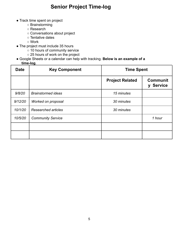## **Senior Project Time-log**

- Track time spent on project
	- Brainstorming
	- Research
	- Conversations about project
	- Tentative dates
	- Work
- The project must include 35 hours
	- 10 hours of community service
	- 25 hours of work on the project
- Google Sheets or a calendar can help with tracking. **Below is an example of a time-log**.

| <b>Date</b> | <b>Key Component</b>       | <b>Time Spent</b>      |                                               |  |
|-------------|----------------------------|------------------------|-----------------------------------------------|--|
|             |                            | <b>Project Related</b> | <b>Communit</b><br><b>Service</b><br><b>V</b> |  |
| 9/8/20      | <b>Brainstormed ideas</b>  | 15 minutes             |                                               |  |
| 9/12/20     | Worked on proposal         | 30 minutes             |                                               |  |
| 10/1/20     | <b>Researched articles</b> | 30 minutes             |                                               |  |
| 10/5/20     | <b>Community Service</b>   |                        | 1 hour                                        |  |
|             |                            |                        |                                               |  |
|             |                            |                        |                                               |  |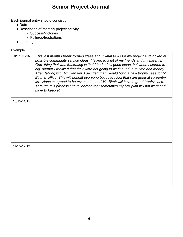# **Senior Project Journal**

Each journal entry should consist of:

- Date
- Description of monthly project activity
	- Success/victories
	- Failures/frustrations
- Learning

#### **Example**

| $9/15 - 10/15$ | This last month I brainstormed ideas about what to do for my project and looked at<br>possible community service ideas. I talked to a lot of my friends and my parents.<br>One thing that was frustrating is that I had a few good ideas, but when I started to<br>dig deeper I realized that they were not going to work out due to time and money.<br>After talking with Mr. Hansen, I decided that I would build a new trophy case for Mr.<br>Birch's office. This will benefit everyone because I feel that I am good at carpentry,<br>Mr. Hansen agreed to be my mentor, and Mr. Birch will have a great trophy case.<br>Through this process I have learned that sometimes my first plan will not work and I<br>have to keep at it. |
|----------------|-------------------------------------------------------------------------------------------------------------------------------------------------------------------------------------------------------------------------------------------------------------------------------------------------------------------------------------------------------------------------------------------------------------------------------------------------------------------------------------------------------------------------------------------------------------------------------------------------------------------------------------------------------------------------------------------------------------------------------------------|
| 10/15-11/15    |                                                                                                                                                                                                                                                                                                                                                                                                                                                                                                                                                                                                                                                                                                                                           |
|                |                                                                                                                                                                                                                                                                                                                                                                                                                                                                                                                                                                                                                                                                                                                                           |
|                |                                                                                                                                                                                                                                                                                                                                                                                                                                                                                                                                                                                                                                                                                                                                           |
|                |                                                                                                                                                                                                                                                                                                                                                                                                                                                                                                                                                                                                                                                                                                                                           |
| 11/15-12/13    |                                                                                                                                                                                                                                                                                                                                                                                                                                                                                                                                                                                                                                                                                                                                           |
|                |                                                                                                                                                                                                                                                                                                                                                                                                                                                                                                                                                                                                                                                                                                                                           |
|                |                                                                                                                                                                                                                                                                                                                                                                                                                                                                                                                                                                                                                                                                                                                                           |
|                |                                                                                                                                                                                                                                                                                                                                                                                                                                                                                                                                                                                                                                                                                                                                           |
|                |                                                                                                                                                                                                                                                                                                                                                                                                                                                                                                                                                                                                                                                                                                                                           |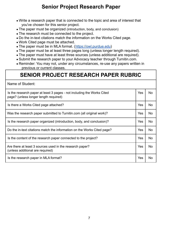## **Senior Project Research Paper**

- Write a research paper that is connected to the topic and area of interest that you've chosen for this senior project.
- The paper must be organized (introduction, body, and conclusion)
- The research must be connected to the project.
- Do the in-text citations match the information on the Works Cited page.
- Work Cited page must be attached.
- The paper must be in MLA format. (https://owl.purdue.edu)
- The paper must be at least three pages long (unless longer length required).
- The paper must have at least three sources (unless additional are required).
- Submit the research paper to your Advocacy teacher through Turnitin.com.
- Reminder: You may not, under any circumstances, re-use any papers written in previous or current classes.

# **SENIOR PROJECT RESEARCH PAPER RUBRIC**

| Name of Student:                                                                                                |     |           |
|-----------------------------------------------------------------------------------------------------------------|-----|-----------|
| Is the research paper at least 3 pages - not including the Works Cited<br>page? (unless longer length required) | Yes | No.       |
| Is there a Works Cited page attached?                                                                           | Yes | No        |
| Was the research paper submitted to Turnitin.com (all original work)?                                           | Yes | <b>No</b> |
| Is the research paper organized (introduction, body, and conclusion)?                                           | Yes | <b>No</b> |
| Do the in-text citations match the information on the Works Cited page?                                         | Yes | <b>No</b> |
| Is the content of the research paper connected to the project?                                                  | Yes | No.       |
| Are there at least 3 sources used in the research paper?<br>(unless additional are required)                    | Yes | <b>No</b> |
| Is the research paper in MLA format?                                                                            | Yes | No        |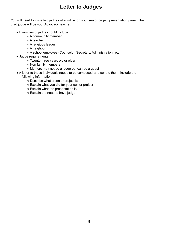## **Letter to Judges**

You will need to invite two judges who will sit on your senior project presentation panel. The third judge will be your Advocacy teacher.

- Examples of judges could include
	- A community member
	- A teacher
	- A religious leader
	- A neighbor
	- A school employee (Counselor, Secretary, Administration, etc.)
- Judge requirements
	- Twenty-three years old or older
	- Non family members
	- Mentors may not be a judge but can be a guest
- A letter to these individuals needs to be composed and sent to them; include the following information:
	- Describe what a senior project is
	- Explain what you did for your senior project
	- Explain what the presentation is
	- Explain the need to have judge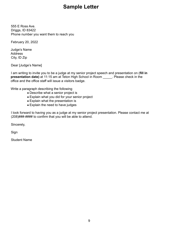## **Sample Letter**

555 E Ross Ave. Driggs, ID 83422 Phone number you want them to reach you

February 20, 2022

Judge's Name Address City, ID Zip

Dear [Judge's Name]

I am writing to invite you to be a judge at my senior project speech and presentation on (**fill in presentation date)** at 11:15 am at Teton High School in Room \_\_\_\_\_. Please check in the office and the office staff will issue a visitors badge.

Write a paragraph describing the following

- Describe what a senior project is
- Explain what you did for your senior project
- Explain what the presentation is
- Explain the need to have judges

I look forward to having you as a judge at my senior project presentation. Please contact me at (208)###-#### to confirm that you will be able to attend.

Sincerely,

Sign

Student Name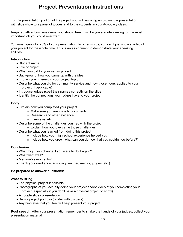## **Project Presentation Instructions**

For the presentation portion of the project you will be giving an 5-8 minute presentation with slide show to a panel of judges and to the students in your Advocacy class.

Required attire: business dress, you should treat this like you are interviewing for the most important job you could ever want.

You must speak for 70% of your presentation. In other words, you can't just show a video of your project for the whole time. This is an assignment to demonstrate your speaking abilities.

#### **Introduction**

- Student name
- Title of project
- What you did for your senior project
- Background: how you came up with the idea
- Explain your interest in your project topic
- Describe what you did for community service and how those hours applied to your project (if applicable)
- Introduce judges (spell their names correctly on the slide)
- Identify the connections your judges have to your project

#### **Body**

- Explain how you completed your project
	- o Make sure you are visually documenting
	- o Research and other evidence
	- o Interviews, etc.
- Describe some of the challenges you had with the project
	- o Explain how you overcame those challenges
- Describe what you learned from doing this project
	- o Include how your high school experience helped you
	- o Include how you grew (what can you do now that you couldn't do before?)

#### **Conclusion**

- What might you change if you were to do it again?
- What went well?
- Memorable moments?
- Thank your (audience, advocacy teacher, mentor, judges, etc.)

#### **Be prepared to answer questions!**

#### **What to Bring:**

- The physical project if possible
- Photographs of you actually doing your project and/or video of you completing your project (especially if you don't have a physical project to show)
- A google slides presentation
- Senior project portfolio (binder with dividers)
- Anything else that you feel will help present your project

**Post speech**: After your presentation remember to shake the hands of your judges, collect your presentation material.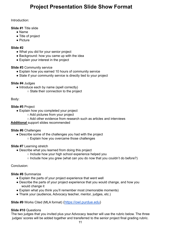## **Project Presentation Slide Show Format**

Introduction:

**Slide #1** Title slide

- Name
- Title of project
- Picture

**Slide #2**

- What you did for your senior project
- Background: how you came up with the idea
- Explain your interest in the project

#### **Slide #3** Community service

- Explain how you earned 10 hours of community service
- State if your community service is directly tied to your project

#### **Slide #4** Judges

- Introduce each by name (spell correctly)
	- State their connection to the project

Body:

#### **Slide #5** Project

- Explain how you completed your project
	- Add pictures from your project
	- Add other evidence from research such as articles and interviews

**Additional** support slides recommended

#### **Slide #6** Challenges

- Describe some of the challenges you had with the project
	- Explain how you overcame those challenges

#### **Slide #7** Learning stretch

- Describe what you learned from doing this project
	- Include how your high school experience helped you
	- $\circ$  Include how you grew (what can you do now that you couldn't do before?)

Conclusion:

#### **Slide #8** Summarize

- Explain the parts of your project experience that went well
- Describe the parts of your project experience that you would change, and how you would change it
- Explain what you think you'll remember most (memorable moments)
- Thank your (audience, Advocacy teacher, mentor, judges, etc.)

**Slide #9** Works Cited (MLA format) (https://owl.purdue.edu)

#### **Slide #10** Questions

The two judges that you invited plus your Advocacy teacher will use the rubric below. The three judges' scores will be added together and transferred to the senior project final grading rubric.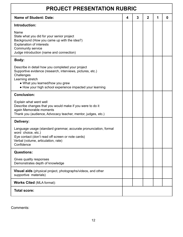| <b>PROJECT PRESENTATION RUBRIC</b>                                                                                                                                                                                                               |   |   |                |   |   |  |
|--------------------------------------------------------------------------------------------------------------------------------------------------------------------------------------------------------------------------------------------------|---|---|----------------|---|---|--|
| <b>Name of Student: Date:</b>                                                                                                                                                                                                                    | 4 | 3 | $\overline{2}$ | 1 | 0 |  |
| Introduction:                                                                                                                                                                                                                                    |   |   |                |   |   |  |
| Name<br>State what you did for your senior project<br>Background (How you came up with the idea?)<br><b>Explanation of interests</b><br>Community service<br>Judge introduction (name and connection)                                            |   |   |                |   |   |  |
| Body:                                                                                                                                                                                                                                            |   |   |                |   |   |  |
| Describe in detail how you completed your project<br>Supportive evidence (research, interviews, pictures, etc.)<br>Challenges<br>Learning stretch<br>• What you learned/how you grew<br>• How your high school experience impacted your learning |   |   |                |   |   |  |
| <b>Conclusion:</b>                                                                                                                                                                                                                               |   |   |                |   |   |  |
| Explain what went well<br>Describe changes that you would make if you were to do it<br>again Memorable moments<br>Thank you (audience, Advocacy teacher, mentor, judges, etc.)                                                                   |   |   |                |   |   |  |
| Delivery:                                                                                                                                                                                                                                        |   |   |                |   |   |  |
| Language usage (standard grammar, accurate pronunciation, formal<br>word choice, etc.)<br>Eye contact (don't read off screen or note cards)<br>Verbal (volume, articulation, rate)<br>Confidence                                                 |   |   |                |   |   |  |
| <b>Questions:</b>                                                                                                                                                                                                                                |   |   |                |   |   |  |
| Gives quality responses<br>Demonstrates depth of knowledge                                                                                                                                                                                       |   |   |                |   |   |  |
| Visual aids (physical project, photographs/videos, and other<br>supportive materials)                                                                                                                                                            |   |   |                |   |   |  |
| <b>Works Cited (MLA format):</b>                                                                                                                                                                                                                 |   |   |                |   |   |  |
| <b>Total score:</b>                                                                                                                                                                                                                              |   |   |                |   |   |  |

Comments: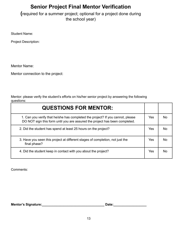# **Senior Project Final Mentor Verification**

**(**required for a summer project; optional for a project done during the school year)

Student Name:

Project Description:

Mentor Name:

Mentor connection to the project:

Mentor: please verify the student's efforts on his/her senior project by answering the following questions:

| <b>QUESTIONS FOR MENTOR:</b>                                                                                                                                  |            |     |
|---------------------------------------------------------------------------------------------------------------------------------------------------------------|------------|-----|
| 1. Can you verify that he/she has completed the project? If you cannot, please<br>DO NOT sign this form until you are assured the project has been completed. | <b>Yes</b> | Nο  |
| 2. Did the student has spend at least 25 hours on the project?                                                                                                | Yes        | Nο  |
| 3. Have you seen this project at different stages of completion, not just the<br>final phase?                                                                 | <b>Yes</b> | No. |
| 4. Did the student keep in contact with you about the project?                                                                                                | Yes        | Nο  |

Comments:

**Mentor's Signature:\_\_\_\_\_\_\_\_\_\_\_\_\_\_\_\_\_\_\_\_\_\_\_\_\_\_\_\_\_\_\_\_\_\_ Date:\_\_\_\_\_\_\_\_\_\_\_\_\_\_\_\_\_\_**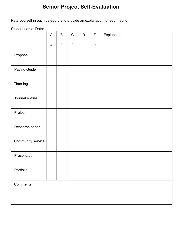# **Senior Project Self-Evaluation**

Rate yourself in each category and provide an explanation for each rating.

Student name: Date:

|                   | $\mathsf{A}$   | $\mathsf B$    | ${\bf C}$      | $\mathsf{D}$ | $\mathsf F$ | Explanation |
|-------------------|----------------|----------------|----------------|--------------|-------------|-------------|
|                   | $\overline{4}$ | $\mathfrak{S}$ | $\overline{2}$ | $\mathbf{1}$ | $\pmb{0}$   |             |
| Proposal          |                |                |                |              |             |             |
| Pacing Guide      |                |                |                |              |             |             |
| Time-log          |                |                |                |              |             |             |
| Journal entries   |                |                |                |              |             |             |
| Project           |                |                |                |              |             |             |
| Research paper    |                |                |                |              |             |             |
| Community service |                |                |                |              |             |             |
| Presentation      |                |                |                |              |             |             |
| Portfolio         |                |                |                |              |             |             |
| Comments:         |                |                |                |              |             |             |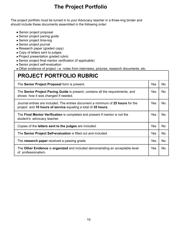## **The Project Portfolio**

The project portfolio must be turned in to your Advocacy teacher in a three-ring binder and should include these documents assembled in the following order:

- Senior project proposal
- Senior project pacing guide
- Senior project time-log
- Senior project journal
- Research paper (graded copy)
- Copy of letters sent to judges
- Project presentation graded rubric
- Senior project final mentor verification (if applicable)
- Senior project self-evaluation

● Other evidence of project. i.e. notes from interviews, pictures, research documents, etc.

## **PROJECT PORTFOLIO RUBRIC**

| The Senior Project Proposal form is present.                                                                                                      | Yes | No.       |
|---------------------------------------------------------------------------------------------------------------------------------------------------|-----|-----------|
| The Senior Project Pacing Guide is present, contains all the requirements, and<br>shows how it was changed if needed.                             | Yes | No.       |
| Journal entries are included. The entries document a minimum of 25 hours for the<br>project and 10 hours of service equaling a total of 35 hours. | Yes | No.       |
| The <b>Final Mentor Verification</b> is completed and present if mentor is not the<br>student's advocacy teacher.                                 | Yes | No.       |
| Copies of the letters sent to the judges are included.                                                                                            | Yes | <b>No</b> |
| The Senior Project Self-evaluation is filled out and included.                                                                                    | Yes | No.       |
| The research paper received a passing grade.                                                                                                      | Yes | <b>No</b> |
| The Other Evidence is organized and included demonstrating an acceptable level<br>of professionalism.                                             | Yes | No.       |